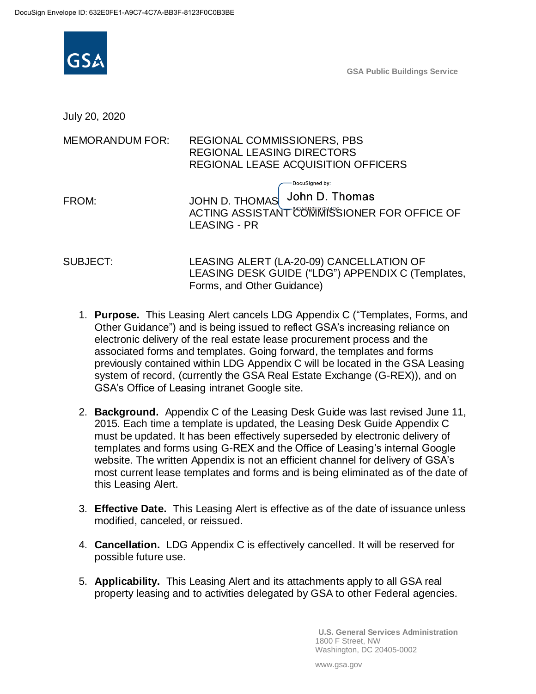

**GSA Public Buildings Service**

July 20, 2020

## MEMORANDUM FOR: REGIONAL COMMISSIONERS, PBS REGIONAL LEASING DIRECTORS REGIONAL LEASE ACQUISITION OFFICERS

DocuSianed by: FROM: JOHN D. THOMAS John D. Thomas ACTING ASSISTANT COMMISSIONER FOR OFFICE OF LEASING - PR

SUBJECT: LEASING ALERT (LA-20-09) CANCELLATION OF LEASING DESK GUIDE ("LDG") APPENDIX C (Templates, Forms, and Other Guidance)

- 1. **Purpose.** This Leasing Alert cancels LDG Appendix C ("Templates, Forms, and Other Guidance") and is being issued to reflect GSA's increasing reliance on electronic delivery of the real estate lease procurement process and the associated forms and templates. Going forward, the templates and forms previously contained within LDG Appendix C will be located in the GSA Leasing system of record, (currently the GSA Real Estate Exchange (G-REX)), and on GSA's Office of Leasing intranet Google site.
- 2. **Background.** Appendix C of the Leasing Desk Guide was last revised June 11, 2015. Each time a template is updated, the Leasing Desk Guide Appendix C must be updated. It has been effectively superseded by electronic delivery of templates and forms using G-REX and the Office of Leasing's internal Google website. The written Appendix is not an efficient channel for delivery of GSA's most current lease templates and forms and is being eliminated as of the date of this Leasing Alert.
- 3. **Effective Date.** This Leasing Alert is effective as of the date of issuance unless modified, canceled, or reissued.
- 4. **Cancellation.** LDG Appendix C is effectively cancelled. It will be reserved for possible future use.
- 5. **Applicability.** This Leasing Alert and its attachments apply to all GSA real property leasing and to activities delegated by GSA to other Federal agencies.

**U.S. General Services Administration** 1800 F Street, NW Washington, DC 20405-0002

www.gsa.gov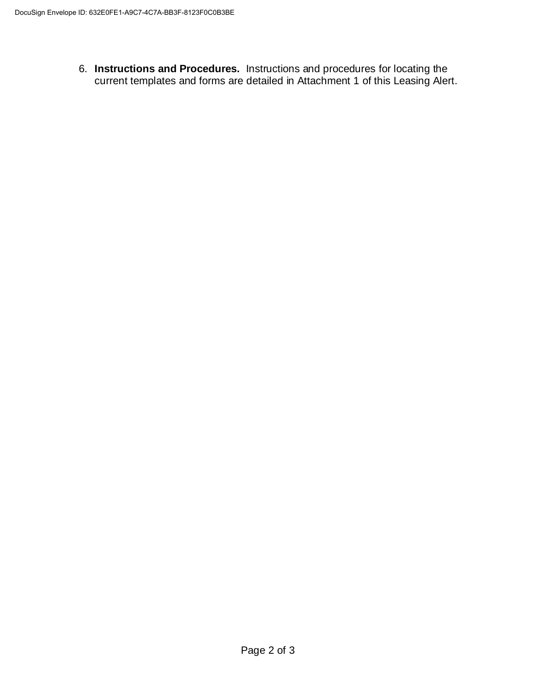6. **Instructions and Procedures.** Instructions and procedures for locating the current templates and forms are detailed in Attachment 1 of this Leasing Alert.